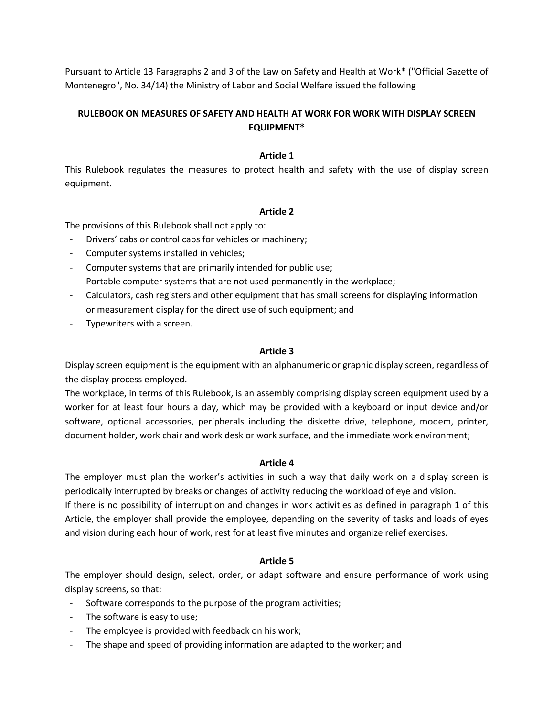Pursuant to Article 13 Paragraphs 2 and 3 of the Law on Safety and Health at Work\* ("Official Gazette of Montenegro", No. 34/14) the Ministry of Labor and Social Welfare issued the following

# **RULEBOOK ON MEASURES OF SAFETY AND HEALTH AT WORK FOR WORK WITH DISPLAY SCREEN EQUIPMENT\***

### **Article 1**

This Rulebook regulates the measures to protect health and safety with the use of display screen equipment.

#### **Article 2**

The provisions of this Rulebook shall not apply to:

- Drivers' cabs or control cabs for vehicles or machinery;
- Computer systems installed in vehicles;
- Computer systems that are primarily intended for public use;
- Portable computer systems that are not used permanently in the workplace;
- Calculators, cash registers and other equipment that has small screens for displaying information or measurement display for the direct use of such equipment; and
- Typewriters with a screen.

### **Article 3**

Display screen equipment is the equipment with an alphanumeric or graphic display screen, regardless of the display process employed.

The workplace, in terms of this Rulebook, is an assembly comprising display screen equipment used by a worker for at least four hours a day, which may be provided with a keyboard or input device and/or software, optional accessories, peripherals including the diskette drive, telephone, modem, printer, document holder, work chair and work desk or work surface, and the immediate work environment;

#### **Article 4**

The employer must plan the worker's activities in such a way that daily work on a display screen is periodically interrupted by breaks or changes of activity reducing the workload of eye and vision. If there is no possibility of interruption and changes in work activities as defined in paragraph 1 of this Article, the employer shall provide the employee, depending on the severity of tasks and loads of eyes and vision during each hour of work, rest for at least five minutes and organize relief exercises.

#### **Article 5**

The employer should design, select, order, or adapt software and ensure performance of work using display screens, so that:

- Software corresponds to the purpose of the program activities;
- The software is easy to use;
- The employee is provided with feedback on his work;
- The shape and speed of providing information are adapted to the worker; and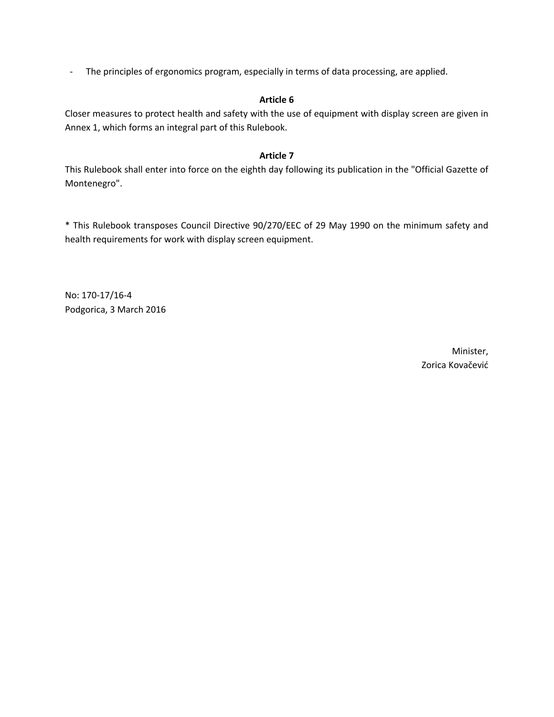- The principles of ergonomics program, especially in terms of data processing, are applied.

### **Article 6**

Closer measures to protect health and safety with the use of equipment with display screen are given in Annex 1, which forms an integral part of this Rulebook.

### **Article 7**

This Rulebook shall enter into force on the eighth day following its publication in the "Official Gazette of Montenegro".

\* This Rulebook transposes Council Directive 90/270/EEC of 29 May 1990 on the minimum safety and health requirements for work with display screen equipment.

No: 170-17/16-4 Podgorica, 3 March 2016

> Minister, Zorica Kovačević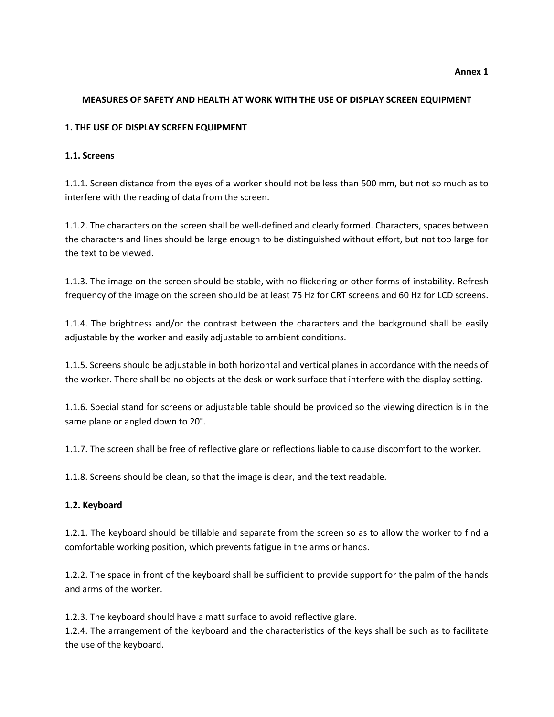# **MEASURES OF SAFETY AND HEALTH AT WORK WITH THE USE OF DISPLAY SCREEN EQUIPMENT**

# **1. THE USE OF DISPLAY SCREEN EQUIPMENT**

### **1.1. Screens**

1.1.1. Screen distance from the eyes of a worker should not be less than 500 mm, but not so much as to interfere with the reading of data from the screen.

1.1.2. The characters on the screen shall be well-defined and clearly formed. Characters, spaces between the characters and lines should be large enough to be distinguished without effort, but not too large for the text to be viewed.

1.1.3. The image on the screen should be stable, with no flickering or other forms of instability. Refresh frequency of the image on the screen should be at least 75 Hz for CRT screens and 60 Hz for LCD screens.

1.1.4. The brightness and/or the contrast between the characters and the background shall be easily adjustable by the worker and easily adjustable to ambient conditions.

1.1.5. Screens should be adjustable in both horizontal and vertical planes in accordance with the needs of the worker. There shall be no objects at the desk or work surface that interfere with the display setting.

1.1.6. Special stand for screens or adjustable table should be provided so the viewing direction is in the same plane or angled down to 20°.

1.1.7. The screen shall be free of reflective glare or reflections liable to cause discomfort to the worker.

1.1.8. Screens should be clean, so that the image is clear, and the text readable.

#### **1.2. Keyboard**

1.2.1. The keyboard should be tillable and separate from the screen so as to allow the worker to find a comfortable working position, which prevents fatigue in the arms or hands.

1.2.2. The space in front of the keyboard shall be sufficient to provide support for the palm of the hands and arms of the worker.

1.2.3. The keyboard should have a matt surface to avoid reflective glare.

1.2.4. The arrangement of the keyboard and the characteristics of the keys shall be such as to facilitate the use of the keyboard.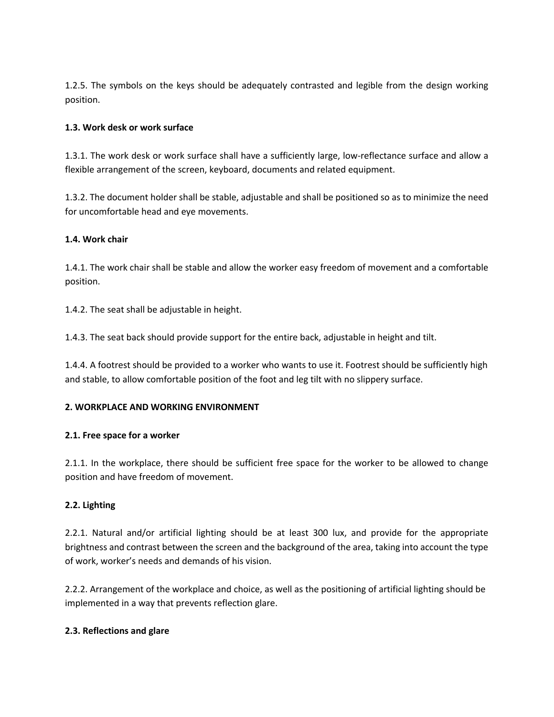1.2.5. The symbols on the keys should be adequately contrasted and legible from the design working position.

### **1.3. Work desk or work surface**

1.3.1. The work desk or work surface shall have a sufficiently large, low-reflectance surface and allow a flexible arrangement of the screen, keyboard, documents and related equipment.

1.3.2. The document holder shall be stable, adjustable and shall be positioned so as to minimize the need for uncomfortable head and eye movements.

### **1.4. Work chair**

1.4.1. The work chair shall be stable and allow the worker easy freedom of movement and a comfortable position.

1.4.2. The seat shall be adjustable in height.

1.4.3. The seat back should provide support for the entire back, adjustable in height and tilt.

1.4.4. A footrest should be provided to a worker who wants to use it. Footrest should be sufficiently high and stable, to allow comfortable position of the foot and leg tilt with no slippery surface.

#### **2. WORKPLACE AND WORKING ENVIRONMENT**

#### **2.1. Free space for a worker**

2.1.1. In the workplace, there should be sufficient free space for the worker to be allowed to change position and have freedom of movement.

# **2.2. Lighting**

2.2.1. Natural and/or artificial lighting should be at least 300 lux, and provide for the appropriate brightness and contrast between the screen and the background of the area, taking into account the type of work, worker's needs and demands of his vision.

2.2.2. Arrangement of the workplace and choice, as well as the positioning of artificial lighting should be implemented in a way that prevents reflection glare.

#### **2.3. Reflections and glare**